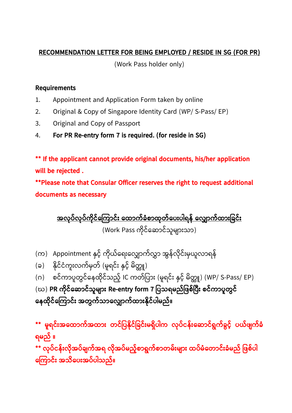## **RECOMMENDATION LETTER FOR BEING EMPLOYED / RESIDE IN SG (FOR PR)**

(Work Pass holder only)

## **Requirements**

- 1. Appointment and Application Form taken by online
- 2. Original & Copy of Singapore Identity Card (WP/ S-Pass/ EP)
- 3. Original and Copy of Passport
- 4. **For PR Re-entry form 7 is required. (for reside in SG)**

**\*\* If the applicant cannot provide original documents, his/her application will be rejected .** 

**\*\*Please note that Consular Officer reserves the right to request additional documents as necessary** 

**အလ ုပ ်လ ုပ်က ိုင်က ကြောင််း ထထောက်ခံစောထ ုတ်ထပေးပါရန် ထလ ောက်ထောေးခခင်ေး** (Work Pass ကိုင်ဆောင်သူများသာ)

- (က) Appointment နှင့် ကိုယ်ရေးလျှောက်လွှာ အွန်လိုင်းမှယူလာရန်
- (ခ) နိုင်ငံကူးလက်မှတ် (မူရင်း နှင့် မိတ္တူ)
- (ဂ) စင်ကာပူတွင်နေထိုင်သည့် IC ကတ်ပြား (မူရင်း နှင့် မိတ္တူ) (WP/ S-Pass/ EP)

(ဃ) **PR ကိုင်ဆောင်သူများ Re-entry form 7 ပြသရမည်ဖြစ်ပြီး စင်ကာပူတွင် ကေထ ိုင်က ကြောင််း အတွက်သြောက ြောက်ထြော်းန ိုင်ပါမည်။**

**\*\* မ ူရင ်ေးအထထောက်အထောေး တင ်ခပနှိုင ်ခခင်ေးမရ ှိပါက လ ုပ်ငန်ေးထ ောင ်ရွက်ခွင ့်် ပယ်ဖျက်ခံ ရမည် ။ \*\* လ ုပ ်ငန်ေးလ ှိုအပ ်ချက်အရ လ ှိုအပ ်မည့််စောရွက်စောတမ ်ေးမျောေး ထပ ်မ ံထတောင ်ေးခံမည် ခဖစ်ပါ ထ ကောင ်ေး အသှိထပေးအပ ်ပါသည်။**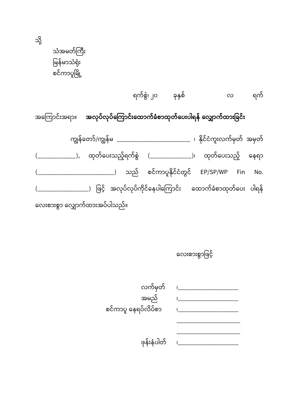သံအမတ်ကြီး မြန်မာသံရုံး စင်ကာပူမြို့

သို့

ရက်စွဲ၊ ၂၀ ခုနှစ် လ ရက်

အကြောင်းအရာ။ **အလုပ်လုပ်ကြောင်းထောက်ခံစာထုတ်ပေးပါရန် လျှောက်ထားခြင်း** 

ကျွန်တော်/ကျွန်မ \_\_\_\_\_\_\_\_\_\_\_\_\_\_\_\_\_\_\_\_\_\_\_\_ ၊ နိုင်ငံကူးလက်မှတ် အမှတ် (\_\_\_\_\_\_\_\_\_\_\_\_), ထုတ်ပေးသည့်ရက်စွဲ (\_\_\_\_\_\_\_\_\_\_\_\_\_\_)၊ ထုတ်ပေးသည့် နေရာ  $($   $($   $\qquad$   $\qquad$   $\qquad$   $\qquad$   $\qquad$   $\qquad$   $\qquad$   $\qquad$   $\qquad$   $\qquad$   $\qquad$   $\qquad$   $\qquad$   $\qquad$   $\qquad$   $\qquad$   $\qquad$   $\qquad$   $\qquad$   $\qquad$   $\qquad$   $\qquad$   $\qquad$   $\qquad$   $\qquad$   $\qquad$   $\qquad$   $\qquad$   $\qquad$   $\qquad$   $\qquad$   $\qquad$   $\qquad$   $\qquad$   $\qquad$   $\$ (\_\_\_\_\_\_\_\_\_\_\_\_\_\_\_\_\_) ဖြင့် အလုပ်လုပ်ကိုင်နေပါကြောင်း ထောက်ခံစာထုတ်ပေး ပါရန် လေးစားစွာ လျှောက်ထားအပ်ပါသည်။

လေးစားစွာဖြင့်

| လက်မှတ်             |  |
|---------------------|--|
| အမည်                |  |
| စင်ကာပူ နေရပ်လိပ်စာ |  |
|                     |  |
|                     |  |
| ဖုန်းနံပါတ်         |  |